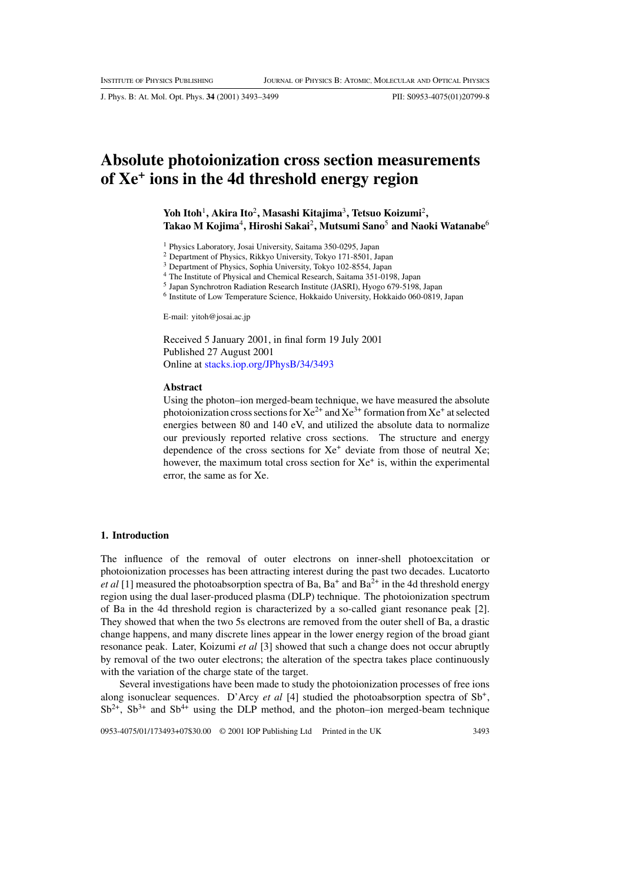J. Phys. B: At. Mol. Opt. Phys. **34** (2001) 3493–3499 PII: S0953-4075(01)20799-8

# **Absolute photoionization cross section measurements of Xe+ ions in the 4d threshold energy region**

**Yoh Itoh**1**, Akira Ito**2**, Masashi Kitajima**3**, Tetsuo Koizumi**2**, Takao M Kojima**4**, Hiroshi Sakai**2**, Mutsumi Sano**<sup>5</sup> **and Naoki Watanabe**<sup>6</sup>

<sup>1</sup> Physics Laboratory, Josai University, Saitama 350-0295, Japan

<sup>2</sup> Department of Physics, Rikkyo University, Tokyo 171-8501, Japan

<sup>3</sup> Department of Physics, Sophia University, Tokyo 102-8554, Japan

The Institute of Physical and Chemical Research, Saitama 351-0198, Japan

<sup>5</sup> Japan Synchrotron Radiation Research Institute (JASRI), Hyogo 679-5198, Japan

<sup>6</sup> Institute of Low Temperature Science, Hokkaido University, Hokkaido 060-0819, Japan

E-mail: yitoh@josai.ac.jp

Received 5 January 2001, in final form 19 July 2001 Published 27 August 2001 Online at [stacks.iop.org/JPhysB/34/3493](http://stacks.iop.org/jb/34/3493)

#### **Abstract**

Using the photon–ion merged-beam technique, we have measured the absolute photoionization cross sections for  $Xe^{2+}$  and  $Xe^{3+}$  formation from  $Xe^+$  at selected energies between 80 and 140 eV, and utilized the absolute data to normalize our previously reported relative cross sections. The structure and energy dependence of the cross sections for  $Xe^+$  deviate from those of neutral Xe; however, the maximum total cross section for  $Xe^+$  is, within the experimental error, the same as for Xe.

#### **1. Introduction**

The influence of the removal of outer electrons on inner-shell photoexcitation or photoionization processes has been attracting interest during the past two decades. Lucatorto *et al* [1] measured the photoabsorption spectra of Ba,  $Ba^+$  and  $Ba^{2+}$  in the 4d threshold energy region using the dual laser-produced plasma (DLP) technique. The photoionization spectrum of Ba in the 4d threshold region is characterized by a so-called giant resonance peak [2]. They showed that when the two 5s electrons are removed from the outer shell of Ba, a drastic change happens, and many discrete lines appear in the lower energy region of the broad giant resonance peak. Later, Koizumi *et al* [3] showed that such a change does not occur abruptly by removal of the two outer electrons; the alteration of the spectra takes place continuously with the variation of the charge state of the target.

Several investigations have been made to study the photoionization processes of free ions along isonuclear sequences. D'Arcy *et al* [4] studied the photoabsorption spectra of Sb+,  $Sb^{2+}$ ,  $Sb^{3+}$  and  $Sb^{4+}$  using the DLP method, and the photon–ion merged-beam technique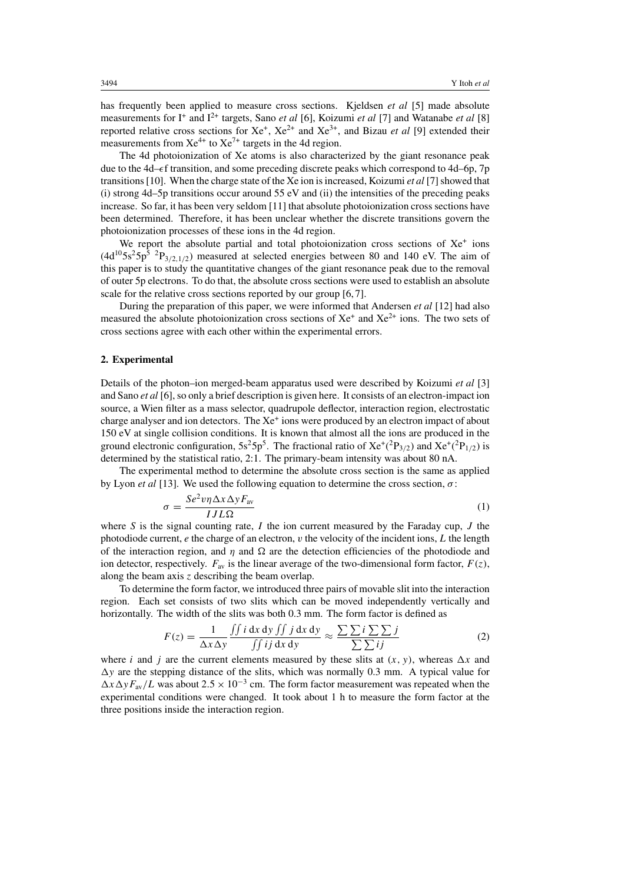has frequently been applied to measure cross sections. Kjeldsen *et al* [5] made absolute measurements for I<sup>+</sup> and I<sup>2+</sup> targets, Sano *et al* [6], Koizumi *et al* [7] and Watanabe *et al* [8] reported relative cross sections for  $Xe^+$ ,  $Xe^{2+}$  and  $Xe^{3+}$ , and Bizau *et al* [9] extended their measurements from  $Xe^{4+}$  to  $Xe^{7+}$  targets in the 4d region.

The 4d photoionization of Xe atoms is also characterized by the giant resonance peak due to the 4d– $\epsilon$ f transition, and some preceding discrete peaks which correspond to 4d–6p, 7p transitions [10]. When the charge state of the Xe ion is increased, Koizumi *et al* [7] showed that  $(i)$  strong 4d–5p transitions occur around 55 eV and  $(ii)$  the intensities of the preceding peaks increase. So far, it has been very seldom [11] that absolute photoionization cross sections have been determined. Therefore, it has been unclear whether the discrete transitions govern the photoionization processes of these ions in the 4d region.

We report the absolute partial and total photoionization cross sections of  $Xe<sup>+</sup>$  ions  $(4d^{10}5s^25p^5~^2P_{3/2,1/2})$  measured at selected energies between 80 and 140 eV. The aim of this paper is to study the quantitative changes of the giant resonance peak due to the removal of outer 5p electrons. To do that, the absolute cross sections were used to establish an absolute scale for the relative cross sections reported by our group [6, 7].

During the preparation of this paper, we were informed that Andersen *et al* [12] had also measured the absolute photoionization cross sections of  $Xe<sup>+</sup>$  and  $Xe<sup>2+</sup>$  ions. The two sets of cross sections agree with each other within the experimental errors.

### **2. Experimental**

Details of the photon–ion merged-beam apparatus used were described by Koizumi *et al* [3] and Sano *et al* [6], so only a brief description is given here. It consists of an electron-impact ion source, a Wien filter as a mass selector, quadrupole deflector, interaction region, electrostatic charge analyser and ion detectors. The Xe<sup>+</sup> ions were produced by an electron impact of about 150 eV at single collision conditions. It is known that almost all the ions are produced in the ground electronic configuration,  $5s^2 5p^5$ . The fractional ratio of  $Xe^+(P_{3/2})$  and  $Xe^+(P_{1/2})$  is determined by the statistical ratio, 2:1. The primary-beam intensity was about 80 nA.

The experimental method to determine the absolute cross section is the same as applied by Lyon *et al* [13]. We used the following equation to determine the cross section, σ:

$$
\sigma = \frac{Se^2 v \eta \Delta x \Delta y F_{\text{av}}}{I J L \Omega} \tag{1}
$$

where S is the signal counting rate, I the ion current measured by the Faraday cup, J the photodiode current,  $e$  the charge of an electron,  $v$  the velocity of the incident ions,  $L$  the length of the interaction region, and  $\eta$  and  $\Omega$  are the detection efficiencies of the photodiode and ion detector, respectively.  $F_{av}$  is the linear average of the two-dimensional form factor,  $F(z)$ , along the beam axis  $z$  describing the beam overlap.

To determine the form factor, we introduced three pairs of movable slit into the interaction region. Each set consists of two slits which can be moved independently vertically and horizontally. The width of the slits was both 0.3 mm. The form factor is defined as

$$
F(z) = \frac{1}{\Delta x \Delta y} \frac{\iint i \, dx \, dy \iint j \, dx \, dy}{\iint i j \, dx \, dy} \approx \frac{\sum \sum i \sum j}{\sum ij}
$$
 (2)

where i and j are the current elements measured by these slits at  $(x, y)$ , whereas  $\Delta x$  and  $\Delta y$  are the stepping distance of the slits, which was normally 0.3 mm. A typical value for  $\Delta x \Delta y F_{av}/L$  was about  $2.5 \times 10^{-3}$  cm. The form factor measurement was repeated when the experimental conditions were changed. It took about 1 h to measure the form factor at the three positions inside the interaction region.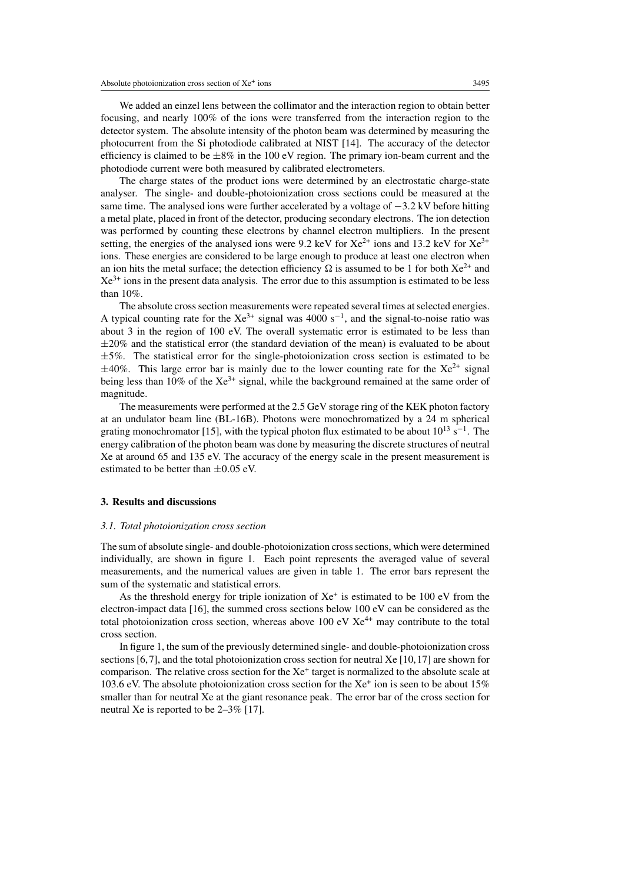We added an einzel lens between the collimator and the interaction region to obtain better focusing, and nearly 100% of the ions were transferred from the interaction region to the detector system. The absolute intensity of the photon beam was determined by measuring the photocurrent from the Si photodiode calibrated at NIST [14]. The accuracy of the detector efficiency is claimed to be  $\pm 8\%$  in the 100 eV region. The primary ion-beam current and the photodiode current were both measured by calibrated electrometers.

The charge states of the product ions were determined by an electrostatic charge-state analyser. The single- and double-photoionization cross sections could be measured at the same time. The analysed ions were further accelerated by a voltage of −3.2 kV before hitting a metal plate, placed in front of the detector, producing secondary electrons. The ion detection was performed by counting these electrons by channel electron multipliers. In the present setting, the energies of the analysed ions were 9.2 keV for  $Xe^{2+}$  ions and 13.2 keV for  $Xe^{3+}$ ions. These energies are considered to be large enough to produce at least one electron when an ion hits the metal surface; the detection efficiency  $\Omega$  is assumed to be 1 for both  $Xe^{2+}$  and  $Xe^{3+}$  ions in the present data analysis. The error due to this assumption is estimated to be less than 10%.

The absolute cross section measurements were repeated several times at selected energies. A typical counting rate for the  $Xe^{3+}$  signal was 4000 s<sup>-1</sup>, and the signal-to-noise ratio was about 3 in the region of 100 eV. The overall systematic error is estimated to be less than  $\pm 20\%$  and the statistical error (the standard deviation of the mean) is evaluated to be about ±5%. The statistical error for the single-photoionization cross section is estimated to be  $\pm 40\%$ . This large error bar is mainly due to the lower counting rate for the Xe<sup>2+</sup> signal being less than 10% of the  $Xe^{3+}$  signal, while the background remained at the same order of magnitude.

The measurements were performed at the 2.5 GeV storage ring of the KEK photon factory at an undulator beam line (BL-16B). Photons were monochromatized by a 24 m spherical grating monochromator [15], with the typical photon flux estimated to be about  $10^{13}$  s<sup>-1</sup>. The energy calibration of the photon beam was done by measuring the discrete structures of neutral Xe at around 65 and 135 eV. The accuracy of the energy scale in the present measurement is estimated to be better than ±0.05 eV.

#### **3. Results and discussions**

#### *3.1. Total photoionization cross section*

The sum of absolute single- and double-photoionization cross sections, which were determined individually, are shown in figure 1. Each point represents the averaged value of several measurements, and the numerical values are given in table 1. The error bars represent the sum of the systematic and statistical errors.

As the threshold energy for triple ionization of  $Xe^+$  is estimated to be 100 eV from the electron-impact data [16], the summed cross sections below 100 eV can be considered as the total photoionization cross section, whereas above 100 eV  $Xe^{4+}$  may contribute to the total cross section.

In figure 1, the sum of the previously determined single- and double-photoionization cross sections [6,7], and the total photoionization cross section for neutral Xe [10,17] are shown for comparison. The relative cross section for the  $Xe<sup>+</sup>$  target is normalized to the absolute scale at 103.6 eV. The absolute photoionization cross section for the  $Xe^+$  ion is seen to be about 15% smaller than for neutral Xe at the giant resonance peak. The error bar of the cross section for neutral Xe is reported to be 2–3% [17].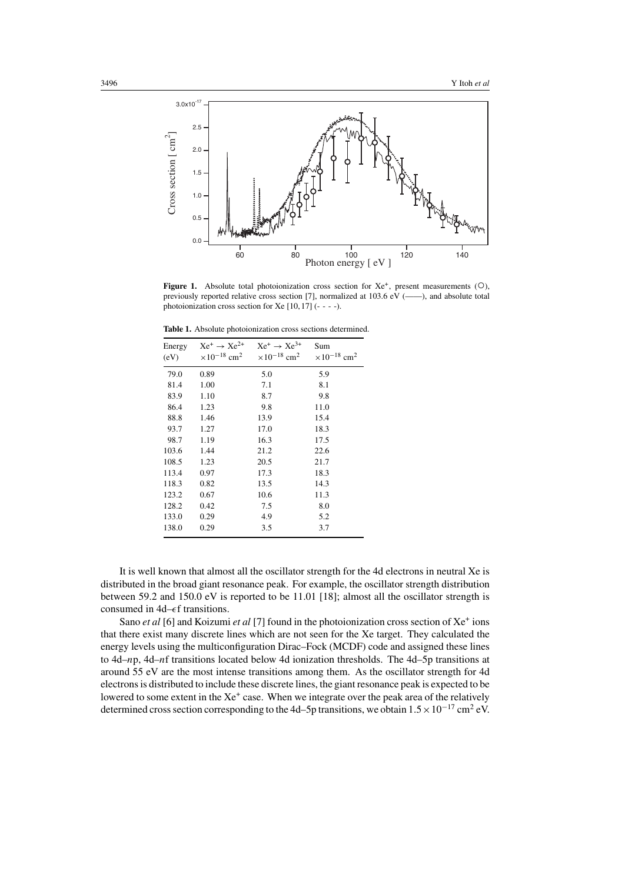

**Figure 1.** Absolute total photoionization cross section for  $Xe^+$ , present measurements ( $\circ$ ), previously reported relative cross section [7], normalized at 103.6 eV (——), and absolute total photoionization cross section for Xe  $[10, 17]$  (- - - -).

**Table 1.** Absolute photoionization cross sections determined.

| Energy<br>(eV) | $Xe^+ \rightarrow Xe^{2+}$<br>$\times 10^{-18}$ cm <sup>2</sup> | $Xe^+ \rightarrow Xe^{3+}$<br>$\times 10^{-18}$ cm <sup>2</sup> | Sum<br>$\times 10^{-18}$ cm <sup>2</sup> |
|----------------|-----------------------------------------------------------------|-----------------------------------------------------------------|------------------------------------------|
|                |                                                                 |                                                                 |                                          |
| 81.4           | 1.00                                                            | 7.1                                                             | 8.1                                      |
| 83.9           | 1.10                                                            | 8.7                                                             | 9.8                                      |
| 86.4           | 1.23                                                            | 9.8                                                             | 11.0                                     |
| 88.8           | 1.46                                                            | 13.9                                                            | 15.4                                     |
| 93.7           | 1.27                                                            | 17.0                                                            | 18.3                                     |
| 98.7           | 1.19                                                            | 16.3                                                            | 17.5                                     |
| 103.6          | 1.44                                                            | 21.2                                                            | 22.6                                     |
| 108.5          | 1.23                                                            | 20.5                                                            | 21.7                                     |
| 113.4          | 0.97                                                            | 17.3                                                            | 18.3                                     |
| 118.3          | 0.82                                                            | 13.5                                                            | 14.3                                     |
| 123.2          | 0.67                                                            | 10.6                                                            | 11.3                                     |
| 128.2          | 0.42                                                            | 7.5                                                             | 8.0                                      |
| 133.0          | 0.29                                                            | 4.9                                                             | 5.2                                      |
| 138.0          | 0.29                                                            | 3.5                                                             | 3.7                                      |
|                |                                                                 |                                                                 |                                          |

It is well known that almost all the oscillator strength for the 4d electrons in neutral Xe is distributed in the broad giant resonance peak. For example, the oscillator strength distribution between 59.2 and 150.0 eV is reported to be 11.01 [18]; almost all the oscillator strength is consumed in  $4d$ – $\epsilon$ f transitions.

Sano *et al* [6] and Koizumi *et al* [7] found in the photoionization cross section of Xe<sup>+</sup> ions that there exist many discrete lines which are not seen for the Xe target. They calculated the energy levels using the multiconfiguration Dirac–Fock (MCDF) code and assigned these lines to 4d–np, 4d–nf transitions located below 4d ionization thresholds. The 4d–5p transitions at around 55 eV are the most intense transitions among them. As the oscillator strength for 4d electrons is distributed to include these discrete lines, the giant resonance peak is expected to be lowered to some extent in the Xe<sup>+</sup> case. When we integrate over the peak area of the relatively determined cross section corresponding to the 4d–5p transitions, we obtain  $1.5 \times 10^{-17}$  cm<sup>2</sup> eV.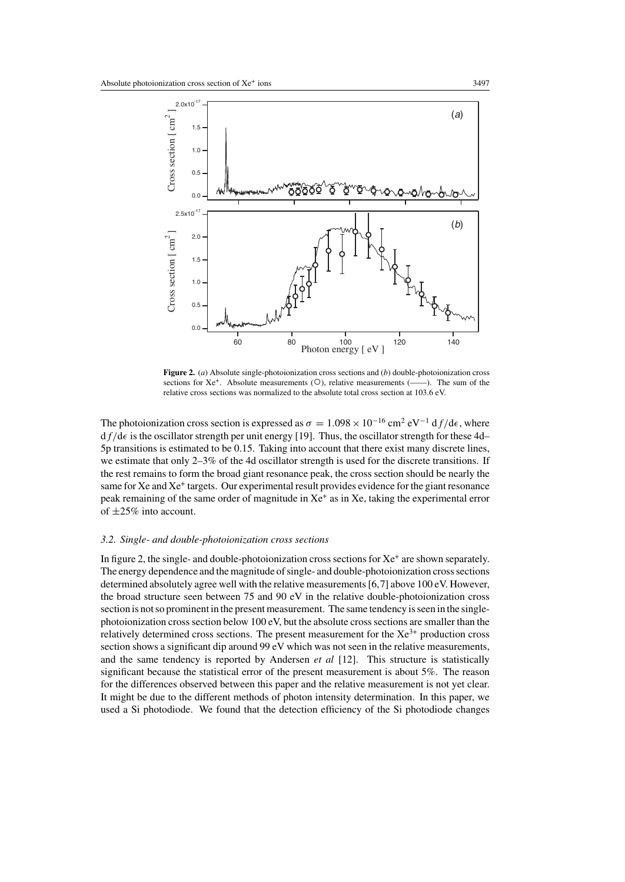

**Figure 2.** (*a*) Absolute single-photoionization cross sections and (*b*) double-photoionization cross sections for  $Xe^+$ . Absolute measurements ( $\bigcirc$ ), relative measurements ( $\overline{\phantom{a}}$ ). The sum of the relative cross sections was normalized to the absolute total cross section at 103.6 eV.

The photoionization cross section is expressed as  $\sigma = 1.098 \times 10^{-16}$  cm<sup>2</sup> eV<sup>-1</sup> df/d $\epsilon$ , where  $df/d\epsilon$  is the oscillator strength per unit energy [19]. Thus, the oscillator strength for these 4d– 5p transitions is estimated to be 0.15. Taking into account that there exist many discrete lines, we estimate that only 2–3% of the 4d oscillator strength is used for the discrete transitions. If the rest remains to form the broad giant resonance peak, the cross section should be nearly the same for Xe and Xe<sup>+</sup> targets. Our experimental result provides evidence for the giant resonance peak remaining of the same order of magnitude in  $Xe^+$  as in Xe, taking the experimental error of ±25% into account.

## *3.2. Single- and double-photoionization cross sections*

In figure 2, the single- and double-photoionization cross sections for  $Xe^+$  are shown separately. The energy dependence and the magnitude of single- and double-photoionization cross sections determined absolutely agree well with the relative measurements [6,7] above 100 eV. However, the broad structure seen between 75 and 90 eV in the relative double-photoionization cross section is not so prominent in the present measurement. The same tendency is seen in the singlephotoionization cross section below 100 eV, but the absolute cross sections are smaller than the relatively determined cross sections. The present measurement for the  $Xe^{3+}$  production cross section shows a significant dip around 99 eV which was not seen in the relative measurements, and the same tendency is reported by Andersen *et al* [12]. This structure is statistically significant because the statistical error of the present measurement is about 5%. The reason for the differences observed between this paper and the relative measurement is not yet clear. It might be due to the different methods of photon intensity determination. In this paper, we used a Si photodiode. We found that the detection efficiency of the Si photodiode changes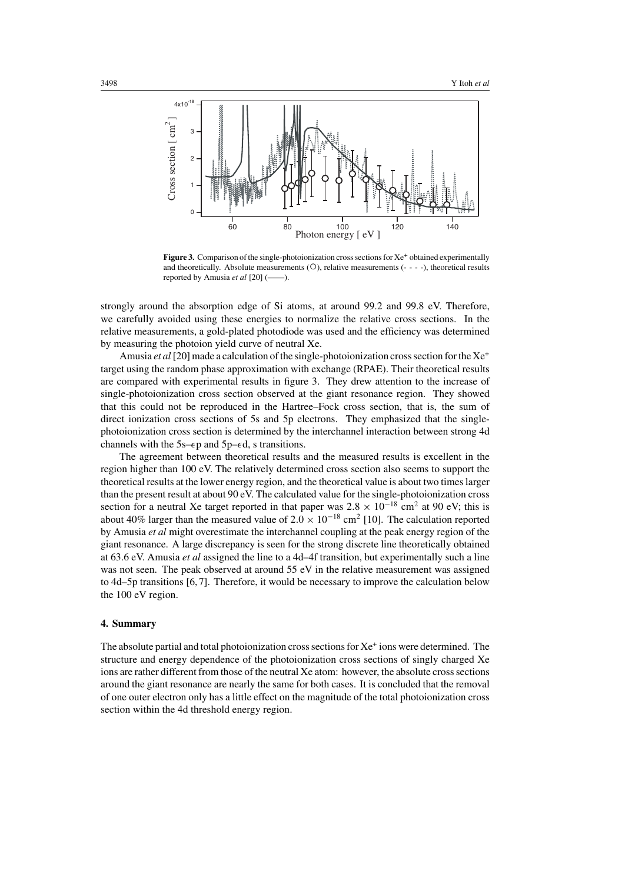

Figure 3. Comparison of the single-photoionization cross sections for Xe<sup>+</sup> obtained experimentally and theoretically. Absolute measurements  $(O)$ , relative measurements  $(- - -)$ , theoretical results reported by Amusia *et al* [20] (——).

strongly around the absorption edge of Si atoms, at around 99.2 and 99.8 eV. Therefore, we carefully avoided using these energies to normalize the relative cross sections. In the relative measurements, a gold-plated photodiode was used and the efficiency was determined by measuring the photoion yield curve of neutral Xe.

Amusia *et al* [20] made a calculation of the single-photoionization cross section for the Xe<sup>+</sup> target using the random phase approximation with exchange (RPAE). Their theoretical results are compared with experimental results in figure 3. They drew attention to the increase of single-photoionization cross section observed at the giant resonance region. They showed that this could not be reproduced in the Hartree–Fock cross section, that is, the sum of direct ionization cross sections of 5s and 5p electrons. They emphasized that the singlephotoionization cross section is determined by the interchannel interaction between strong 4d channels with the 5s– $\epsilon$ p and 5p– $\epsilon$ d, s transitions.

The agreement between theoretical results and the measured results is excellent in the region higher than 100 eV. The relatively determined cross section also seems to support the theoretical results at the lower energy region, and the theoretical value is about two times larger than the present result at about 90 eV. The calculated value for the single-photoionization cross section for a neutral Xe target reported in that paper was  $2.8 \times 10^{-18}$  cm<sup>2</sup> at 90 eV; this is about 40% larger than the measured value of  $2.0 \times 10^{-18}$  cm<sup>2</sup> [10]. The calculation reported by Amusia *et al* might overestimate the interchannel coupling at the peak energy region of the giant resonance. A large discrepancy is seen for the strong discrete line theoretically obtained at 63.6 eV. Amusia *et al* assigned the line to a 4d–4f transition, but experimentally such a line was not seen. The peak observed at around 55 eV in the relative measurement was assigned to 4d–5p transitions [6,7]. Therefore, it would be necessary to improve the calculation below the 100 eV region.

## **4. Summary**

The absolute partial and total photoionization cross sections for  $Xe^+$  ions were determined. The structure and energy dependence of the photoionization cross sections of singly charged Xe ions are rather different from those of the neutral Xe atom: however, the absolute cross sections around the giant resonance are nearly the same for both cases. It is concluded that the removal of one outer electron only has a little effect on the magnitude of the total photoionization cross section within the 4d threshold energy region.